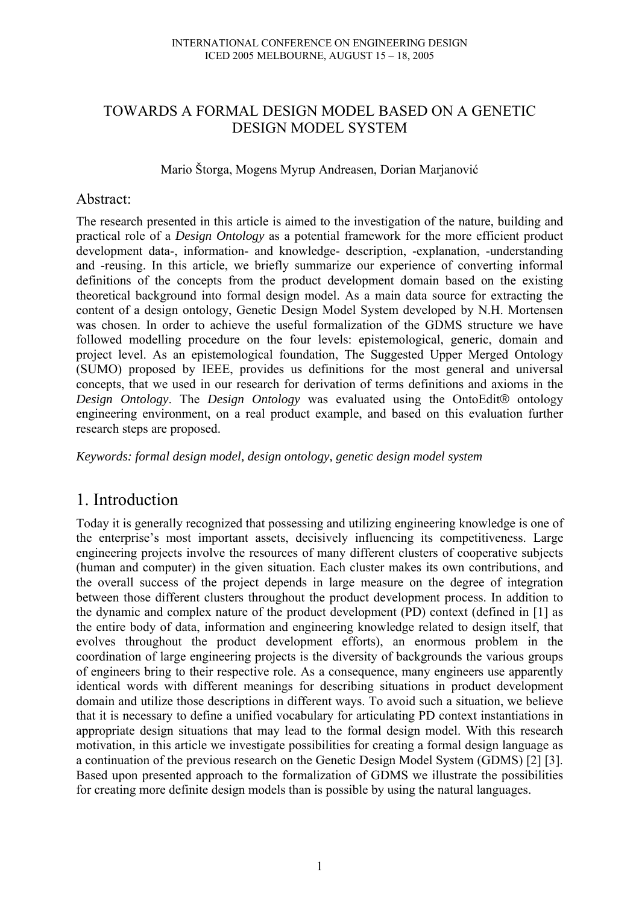## TOWARDS A FORMAL DESIGN MODEL BASED ON A GENETIC DESIGN MODEL SYSTEM

### Mario Štorga, Mogens Myrup Andreasen, Dorian Marjanović

### Abstract:

The research presented in this article is aimed to the investigation of the nature, building and practical role of a *Design Ontology* as a potential framework for the more efficient product development data-, information- and knowledge- description, -explanation, -understanding and -reusing. In this article, we briefly summarize our experience of converting informal definitions of the concepts from the product development domain based on the existing theoretical background into formal design model. As a main data source for extracting the content of a design ontology, Genetic Design Model System developed by N.H. Mortensen was chosen. In order to achieve the useful formalization of the GDMS structure we have followed modelling procedure on the four levels: epistemological, generic, domain and project level. As an epistemological foundation, The Suggested Upper Merged Ontology (SUMO) proposed by IEEE, provides us definitions for the most general and universal concepts, that we used in our research for derivation of terms definitions and axioms in the *Design Ontology*. The *Design Ontology* was evaluated using the OntoEdit® ontology engineering environment, on a real product example, and based on this evaluation further research steps are proposed.

*Keywords: formal design model, design ontology, genetic design model system* 

# 1. Introduction

Today it is generally recognized that possessing and utilizing engineering knowledge is one of the enterprise's most important assets, decisively influencing its competitiveness. Large engineering projects involve the resources of many different clusters of cooperative subjects (human and computer) in the given situation. Each cluster makes its own contributions, and the overall success of the project depends in large measure on the degree of integration between those different clusters throughout the product development process. In addition to the dynamic and complex nature of the product development (PD) context (defined in [1] as the entire body of data, information and engineering knowledge related to design itself, that evolves throughout the product development efforts), an enormous problem in the coordination of large engineering projects is the diversity of backgrounds the various groups of engineers bring to their respective role. As a consequence, many engineers use apparently identical words with different meanings for describing situations in product development domain and utilize those descriptions in different ways. To avoid such a situation, we believe that it is necessary to define a unified vocabulary for articulating PD context instantiations in appropriate design situations that may lead to the formal design model. With this research motivation, in this article we investigate possibilities for creating a formal design language as a continuation of the previous research on the Genetic Design Model System (GDMS) [2] [3]. Based upon presented approach to the formalization of GDMS we illustrate the possibilities for creating more definite design models than is possible by using the natural languages.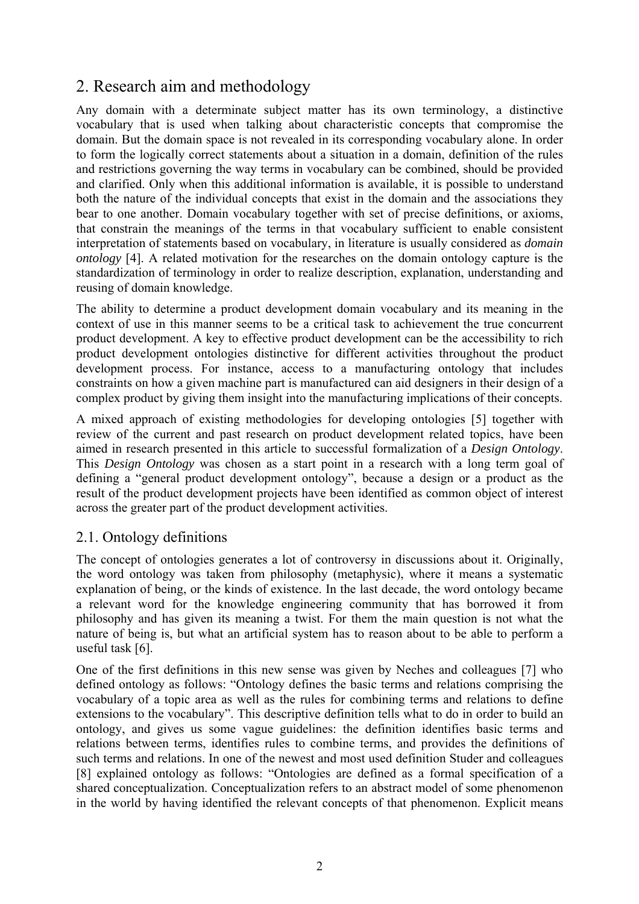# 2. Research aim and methodology

Any domain with a determinate subject matter has its own terminology, a distinctive vocabulary that is used when talking about characteristic concepts that compromise the domain. But the domain space is not revealed in its corresponding vocabulary alone. In order to form the logically correct statements about a situation in a domain, definition of the rules and restrictions governing the way terms in vocabulary can be combined, should be provided and clarified. Only when this additional information is available, it is possible to understand both the nature of the individual concepts that exist in the domain and the associations they bear to one another. Domain vocabulary together with set of precise definitions, or axioms, that constrain the meanings of the terms in that vocabulary sufficient to enable consistent interpretation of statements based on vocabulary, in literature is usually considered as *domain ontology* [4]. A related motivation for the researches on the domain ontology capture is the standardization of terminology in order to realize description, explanation, understanding and reusing of domain knowledge.

The ability to determine a product development domain vocabulary and its meaning in the context of use in this manner seems to be a critical task to achievement the true concurrent product development. A key to effective product development can be the accessibility to rich product development ontologies distinctive for different activities throughout the product development process. For instance, access to a manufacturing ontology that includes constraints on how a given machine part is manufactured can aid designers in their design of a complex product by giving them insight into the manufacturing implications of their concepts.

A mixed approach of existing methodologies for developing ontologies [5] together with review of the current and past research on product development related topics, have been aimed in research presented in this article to successful formalization of a *Design Ontology*. This *Design Ontology* was chosen as a start point in a research with a long term goal of defining a "general product development ontology", because a design or a product as the result of the product development projects have been identified as common object of interest across the greater part of the product development activities.

## 2.1. Ontology definitions

The concept of ontologies generates a lot of controversy in discussions about it. Originally, the word ontology was taken from philosophy (metaphysic), where it means a systematic explanation of being, or the kinds of existence. In the last decade, the word ontology became a relevant word for the knowledge engineering community that has borrowed it from philosophy and has given its meaning a twist. For them the main question is not what the nature of being is, but what an artificial system has to reason about to be able to perform a useful task [6].

One of the first definitions in this new sense was given by Neches and colleagues [7] who defined ontology as follows: "Ontology defines the basic terms and relations comprising the vocabulary of a topic area as well as the rules for combining terms and relations to define extensions to the vocabulary". This descriptive definition tells what to do in order to build an ontology, and gives us some vague guidelines: the definition identifies basic terms and relations between terms, identifies rules to combine terms, and provides the definitions of such terms and relations. In one of the newest and most used definition Studer and colleagues [8] explained ontology as follows: "Ontologies are defined as a formal specification of a shared conceptualization. Conceptualization refers to an abstract model of some phenomenon in the world by having identified the relevant concepts of that phenomenon. Explicit means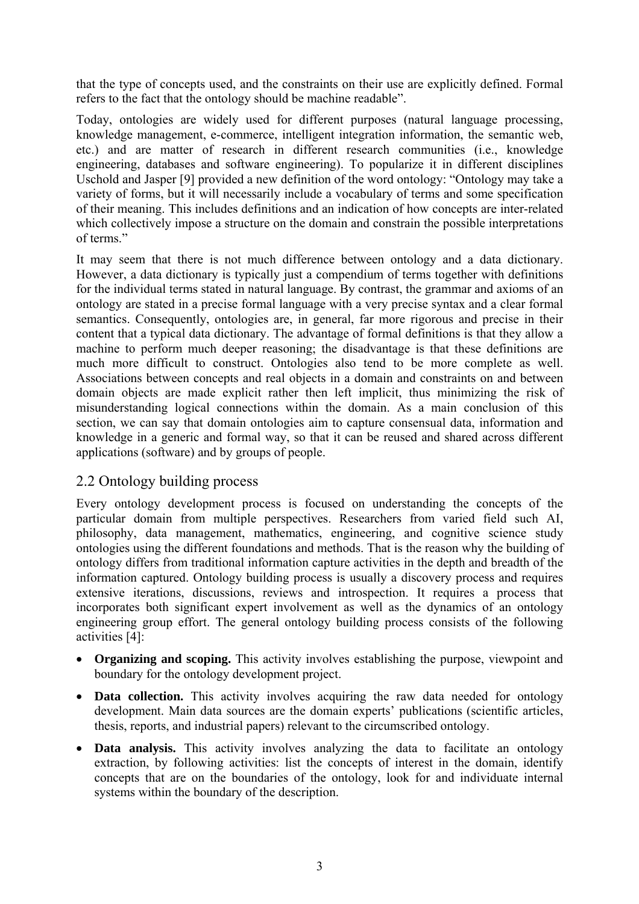that the type of concepts used, and the constraints on their use are explicitly defined. Formal refers to the fact that the ontology should be machine readable".

Today, ontologies are widely used for different purposes (natural language processing, knowledge management, e-commerce, intelligent integration information, the semantic web, etc.) and are matter of research in different research communities (i.e., knowledge engineering, databases and software engineering). To popularize it in different disciplines Uschold and Jasper [9] provided a new definition of the word ontology: "Ontology may take a variety of forms, but it will necessarily include a vocabulary of terms and some specification of their meaning. This includes definitions and an indication of how concepts are inter-related which collectively impose a structure on the domain and constrain the possible interpretations of terms."

It may seem that there is not much difference between ontology and a data dictionary. However, a data dictionary is typically just a compendium of terms together with definitions for the individual terms stated in natural language. By contrast, the grammar and axioms of an ontology are stated in a precise formal language with a very precise syntax and a clear formal semantics. Consequently, ontologies are, in general, far more rigorous and precise in their content that a typical data dictionary. The advantage of formal definitions is that they allow a machine to perform much deeper reasoning; the disadvantage is that these definitions are much more difficult to construct. Ontologies also tend to be more complete as well. Associations between concepts and real objects in a domain and constraints on and between domain objects are made explicit rather then left implicit, thus minimizing the risk of misunderstanding logical connections within the domain. As a main conclusion of this section, we can say that domain ontologies aim to capture consensual data, information and knowledge in a generic and formal way, so that it can be reused and shared across different applications (software) and by groups of people.

## 2.2 Ontology building process

Every ontology development process is focused on understanding the concepts of the particular domain from multiple perspectives. Researchers from varied field such AI, philosophy, data management, mathematics, engineering, and cognitive science study ontologies using the different foundations and methods. That is the reason why the building of ontology differs from traditional information capture activities in the depth and breadth of the information captured. Ontology building process is usually a discovery process and requires extensive iterations, discussions, reviews and introspection. It requires a process that incorporates both significant expert involvement as well as the dynamics of an ontology engineering group effort. The general ontology building process consists of the following activities [4]:

- **Organizing and scoping.** This activity involves establishing the purpose, viewpoint and boundary for the ontology development project.
- **Data collection.** This activity involves acquiring the raw data needed for ontology development. Main data sources are the domain experts' publications (scientific articles, thesis, reports, and industrial papers) relevant to the circumscribed ontology.
- **Data analysis.** This activity involves analyzing the data to facilitate an ontology extraction, by following activities: list the concepts of interest in the domain, identify concepts that are on the boundaries of the ontology, look for and individuate internal systems within the boundary of the description.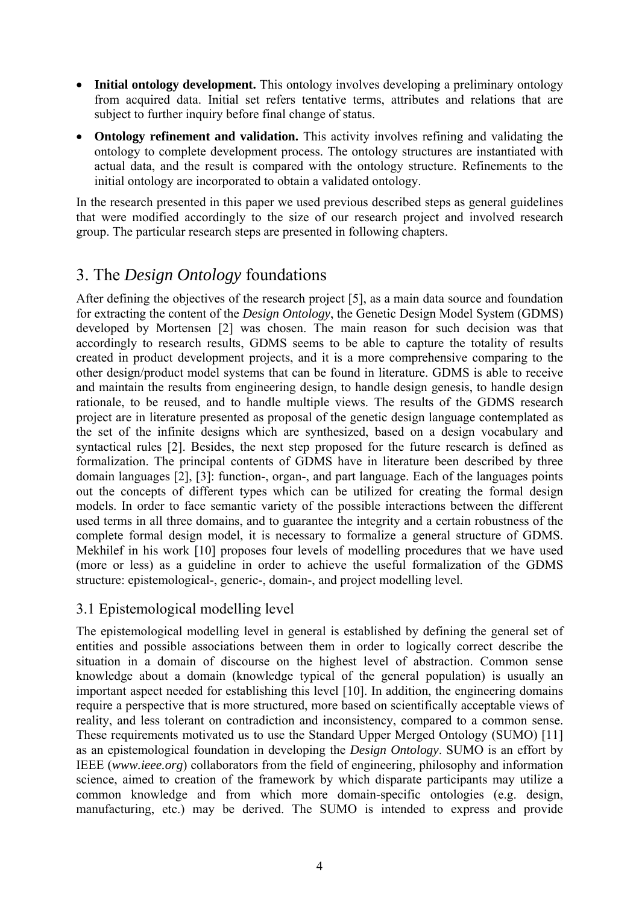- **Initial ontology development.** This ontology involves developing a preliminary ontology from acquired data. Initial set refers tentative terms, attributes and relations that are subject to further inquiry before final change of status.
- **Ontology refinement and validation.** This activity involves refining and validating the ontology to complete development process. The ontology structures are instantiated with actual data, and the result is compared with the ontology structure. Refinements to the initial ontology are incorporated to obtain a validated ontology.

In the research presented in this paper we used previous described steps as general guidelines that were modified accordingly to the size of our research project and involved research group. The particular research steps are presented in following chapters.

# 3. The *Design Ontology* foundations

After defining the objectives of the research project [5], as a main data source and foundation for extracting the content of the *Design Ontology*, the Genetic Design Model System (GDMS) developed by Mortensen [2] was chosen. The main reason for such decision was that accordingly to research results, GDMS seems to be able to capture the totality of results created in product development projects, and it is a more comprehensive comparing to the other design/product model systems that can be found in literature. GDMS is able to receive and maintain the results from engineering design, to handle design genesis, to handle design rationale, to be reused, and to handle multiple views. The results of the GDMS research project are in literature presented as proposal of the genetic design language contemplated as the set of the infinite designs which are synthesized, based on a design vocabulary and syntactical rules [2]. Besides, the next step proposed for the future research is defined as formalization. The principal contents of GDMS have in literature been described by three domain languages [2], [3]: function-, organ-, and part language. Each of the languages points out the concepts of different types which can be utilized for creating the formal design models. In order to face semantic variety of the possible interactions between the different used terms in all three domains, and to guarantee the integrity and a certain robustness of the complete formal design model, it is necessary to formalize a general structure of GDMS. Mekhilef in his work [10] proposes four levels of modelling procedures that we have used (more or less) as a guideline in order to achieve the useful formalization of the GDMS structure: epistemological-, generic-, domain-, and project modelling level.

## 3.1 Epistemological modelling level

The epistemological modelling level in general is established by defining the general set of entities and possible associations between them in order to logically correct describe the situation in a domain of discourse on the highest level of abstraction. Common sense knowledge about a domain (knowledge typical of the general population) is usually an important aspect needed for establishing this level [10]. In addition, the engineering domains require a perspective that is more structured, more based on scientifically acceptable views of reality, and less tolerant on contradiction and inconsistency, compared to a common sense. These requirements motivated us to use the Standard Upper Merged Ontology (SUMO) [11] as an epistemological foundation in developing the *Design Ontology*. SUMO is an effort by IEEE (*www.ieee.org*) collaborators from the field of engineering, philosophy and information science, aimed to creation of the framework by which disparate participants may utilize a common knowledge and from which more domain-specific ontologies (e.g. design, manufacturing, etc.) may be derived. The SUMO is intended to express and provide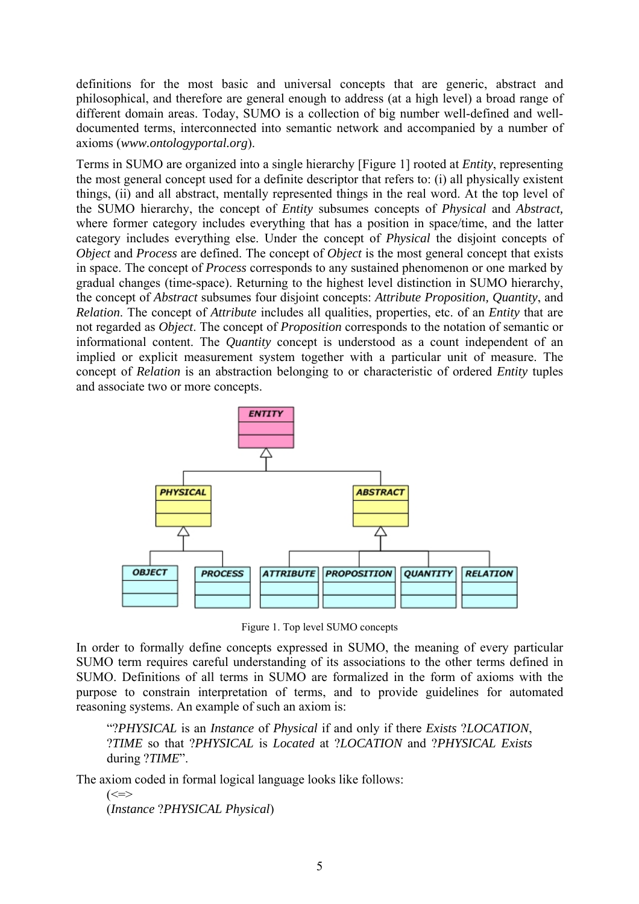definitions for the most basic and universal concepts that are generic, abstract and philosophical, and therefore are general enough to address (at a high level) a broad range of different domain areas. Today, SUMO is a collection of big number well-defined and welldocumented terms, interconnected into semantic network and accompanied by a number of axioms (*www.ontologyportal.org*).

Terms in SUMO are organized into a single hierarchy [Figure 1] rooted at *Entity*, representing the most general concept used for a definite descriptor that refers to: (i) all physically existent things, (ii) and all abstract, mentally represented things in the real word. At the top level of the SUMO hierarchy, the concept of *Entity* subsumes concepts of *Physical* and *Abstract,* where former category includes everything that has a position in space/time, and the latter category includes everything else. Under the concept of *Physical* the disjoint concepts of *Object* and *Process* are defined. The concept of *Object* is the most general concept that exists in space. The concept of *Process* corresponds to any sustained phenomenon or one marked by gradual changes (time-space). Returning to the highest level distinction in SUMO hierarchy, the concept of *Abstract* subsumes four disjoint concepts: *Attribute Proposition, Quantity*, and *Relation*. The concept of *Attribute* includes all qualities, properties, etc. of an *Entity* that are not regarded as *Object*. The concept of *Proposition* corresponds to the notation of semantic or informational content. The *Quantity* concept is understood as a count independent of an implied or explicit measurement system together with a particular unit of measure. The concept of *Relation* is an abstraction belonging to or characteristic of ordered *Entity* tuples and associate two or more concepts.



Figure 1. Top level SUMO concepts

In order to formally define concepts expressed in SUMO, the meaning of every particular SUMO term requires careful understanding of its associations to the other terms defined in SUMO. Definitions of all terms in SUMO are formalized in the form of axioms with the purpose to constrain interpretation of terms, and to provide guidelines for automated reasoning systems. An example of such an axiom is:

"?*PHYSICAL* is an *Instance* of *Physical* if and only if there *Exists* ?*LOCATION*, ?*TIME* so that ?*PHYSICAL* is *Located* at ?*LOCATION* and ?*PHYSICAL Exists* during ?*TIME*".

The axiom coded in formal logical language looks like follows:

 $\left(\leq=\geq\right)$ (*Instance* ?*PHYSICAL Physical*)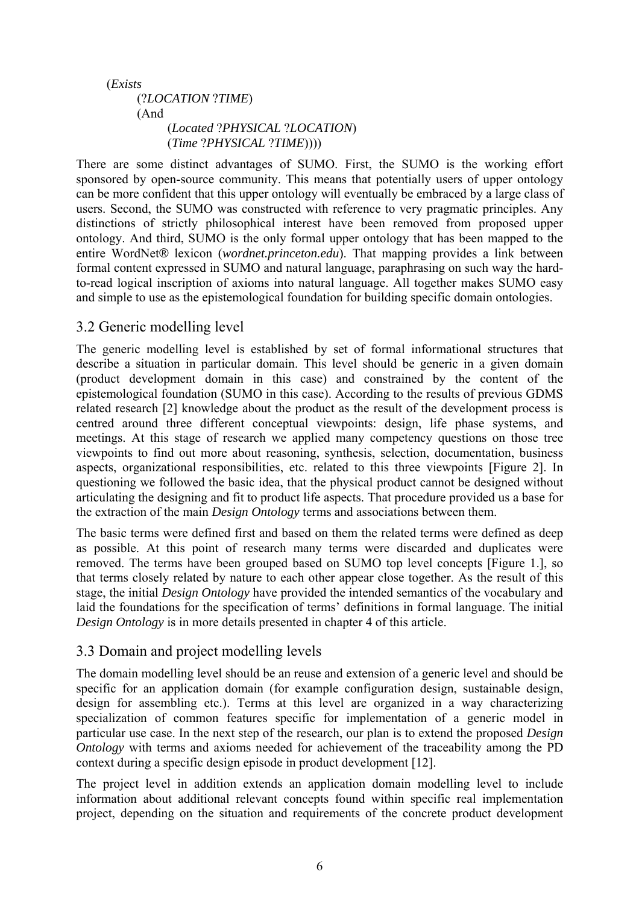```
 (Exists
(?LOCATION ?TIME) 
(And 
     (Located ?PHYSICAL ?LOCATION) 
     (Time ?PHYSICAL ?TIME))))
```
There are some distinct advantages of SUMO. First, the SUMO is the working effort sponsored by open-source community. This means that potentially users of upper ontology can be more confident that this upper ontology will eventually be embraced by a large class of users. Second, the SUMO was constructed with reference to very pragmatic principles. Any distinctions of strictly philosophical interest have been removed from proposed upper ontology. And third, SUMO is the only formal upper ontology that has been mapped to the entire WordNet® lexicon (*wordnet.princeton.edu*). That mapping provides a link between formal content expressed in SUMO and natural language, paraphrasing on such way the hardto-read logical inscription of axioms into natural language. All together makes SUMO easy and simple to use as the epistemological foundation for building specific domain ontologies.

## 3.2 Generic modelling level

The generic modelling level is established by set of formal informational structures that describe a situation in particular domain. This level should be generic in a given domain (product development domain in this case) and constrained by the content of the epistemological foundation (SUMO in this case). According to the results of previous GDMS related research [2] knowledge about the product as the result of the development process is centred around three different conceptual viewpoints: design, life phase systems, and meetings. At this stage of research we applied many competency questions on those tree viewpoints to find out more about reasoning, synthesis, selection, documentation, business aspects, organizational responsibilities, etc. related to this three viewpoints [Figure 2]. In questioning we followed the basic idea, that the physical product cannot be designed without articulating the designing and fit to product life aspects. That procedure provided us a base for the extraction of the main *Design Ontology* terms and associations between them.

The basic terms were defined first and based on them the related terms were defined as deep as possible. At this point of research many terms were discarded and duplicates were removed. The terms have been grouped based on SUMO top level concepts [Figure 1.], so that terms closely related by nature to each other appear close together. As the result of this stage, the initial *Design Ontology* have provided the intended semantics of the vocabulary and laid the foundations for the specification of terms' definitions in formal language. The initial *Design Ontology* is in more details presented in chapter 4 of this article.

## 3.3 Domain and project modelling levels

The domain modelling level should be an reuse and extension of a generic level and should be specific for an application domain (for example configuration design, sustainable design, design for assembling etc.). Terms at this level are organized in a way characterizing specialization of common features specific for implementation of a generic model in particular use case. In the next step of the research, our plan is to extend the proposed *Design Ontology* with terms and axioms needed for achievement of the traceability among the PD context during a specific design episode in product development [12].

The project level in addition extends an application domain modelling level to include information about additional relevant concepts found within specific real implementation project, depending on the situation and requirements of the concrete product development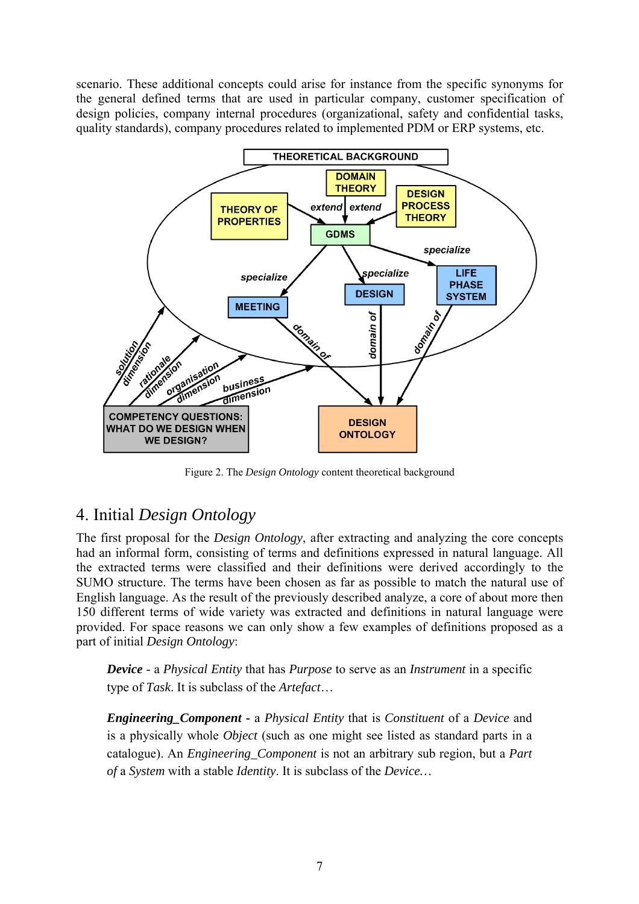scenario. These additional concepts could arise for instance from the specific synonyms for the general defined terms that are used in particular company, customer specification of design policies, company internal procedures (organizational, safety and confidential tasks, quality standards), company procedures related to implemented PDM or ERP systems, etc.



Figure 2. The *Design Ontology* content theoretical background

# 4. Initial *Design Ontology*

The first proposal for the *Design Ontology*, after extracting and analyzing the core concepts had an informal form, consisting of terms and definitions expressed in natural language. All the extracted terms were classified and their definitions were derived accordingly to the SUMO structure. The terms have been chosen as far as possible to match the natural use of English language. As the result of the previously described analyze, a core of about more then 150 different terms of wide variety was extracted and definitions in natural language were provided. For space reasons we can only show a few examples of definitions proposed as a part of initial *Design Ontology*:

*Device* - a *Physical Entity* that has *Purpose* to serve as an *Instrument* in a specific type of *Task*. It is subclass of the *Artefact*…

*Engineering\_Component* **-** a *Physical Entity* that is *Constituent* of a *Device* and is a physically whole *Object* (such as one might see listed as standard parts in a catalogue). An *Engineering\_Component* is not an arbitrary sub region, but a *Part of* a *System* with a stable *Identity*. It is subclass of the *Device…*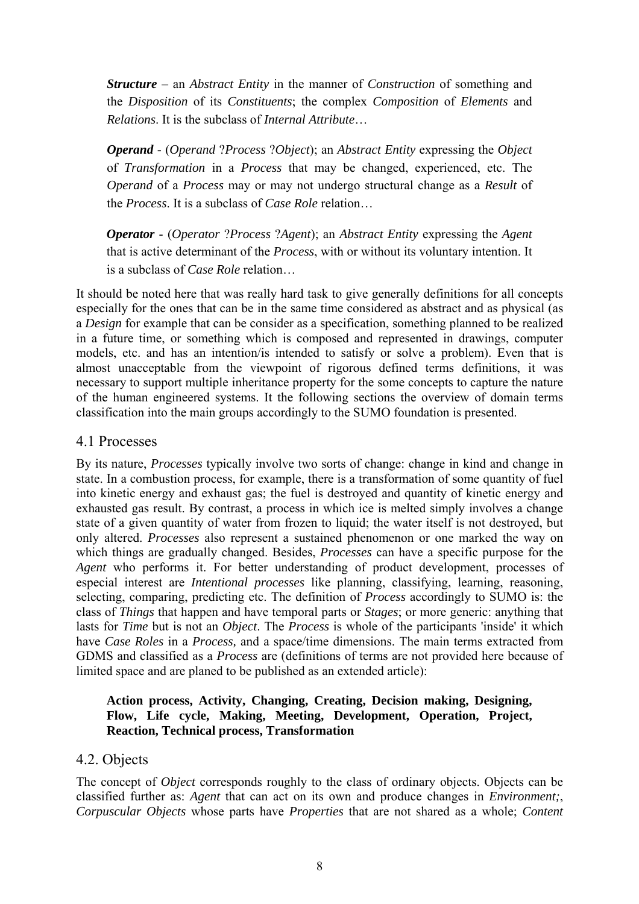*Structure* – an *Abstract Entity* in the manner of *Construction* of something and the *Disposition* of its *Constituents*; the complex *Composition* of *Elements* and *Relations*. It is the subclass of *Internal Attribute*…

*Operand* - (*Operand* ?*Process* ?*Object*); an *Abstract Entity* expressing the *Object* of *Transformation* in a *Process* that may be changed, experienced, etc. The *Operand* of a *Process* may or may not undergo structural change as a *Result* of the *Process*. It is a subclass of *Case Role* relation…

*Operator* - (*Operator* ?*Process* ?*Agent*); an *Abstract Entity* expressing the *Agent* that is active determinant of the *Process*, with or without its voluntary intention. It is a subclass of *Case Role* relation…

It should be noted here that was really hard task to give generally definitions for all concepts especially for the ones that can be in the same time considered as abstract and as physical (as a *Design* for example that can be consider as a specification, something planned to be realized in a future time, or something which is composed and represented in drawings, computer models, etc. and has an intention/is intended to satisfy or solve a problem). Even that is almost unacceptable from the viewpoint of rigorous defined terms definitions, it was necessary to support multiple inheritance property for the some concepts to capture the nature of the human engineered systems. It the following sections the overview of domain terms classification into the main groups accordingly to the SUMO foundation is presented.

### 4.1 Processes

By its nature, *Processes* typically involve two sorts of change: change in kind and change in state. In a combustion process, for example, there is a transformation of some quantity of fuel into kinetic energy and exhaust gas; the fuel is destroyed and quantity of kinetic energy and exhausted gas result. By contrast, a process in which ice is melted simply involves a change state of a given quantity of water from frozen to liquid; the water itself is not destroyed, but only altered. *Processes* also represent a sustained phenomenon or one marked the way on which things are gradually changed. Besides, *Processes* can have a specific purpose for the *Agent* who performs it. For better understanding of product development, processes of especial interest are *Intentional processes* like planning, classifying, learning, reasoning, selecting, comparing, predicting etc. The definition of *Process* accordingly to SUMO is: the class of *Things* that happen and have temporal parts or *Stages*; or more generic: anything that lasts for *Time* but is not an *Object*. The *Process* is whole of the participants 'inside' it which have *Case Roles* in a *Process,* and a space/time dimensions. The main terms extracted from GDMS and classified as a *Process* are (definitions of terms are not provided here because of limited space and are planed to be published as an extended article):

#### **Action process, Activity, Changing, Creating, Decision making, Designing, Flow, Life cycle, Making, Meeting, Development, Operation, Project, Reaction, Technical process, Transformation**

### 4.2. Objects

The concept of *Object* corresponds roughly to the class of ordinary objects. Objects can be classified further as: *Agent* that can act on its own and produce changes in *Environment;*, *Corpuscular Objects* whose parts have *Properties* that are not shared as a whole; *Content*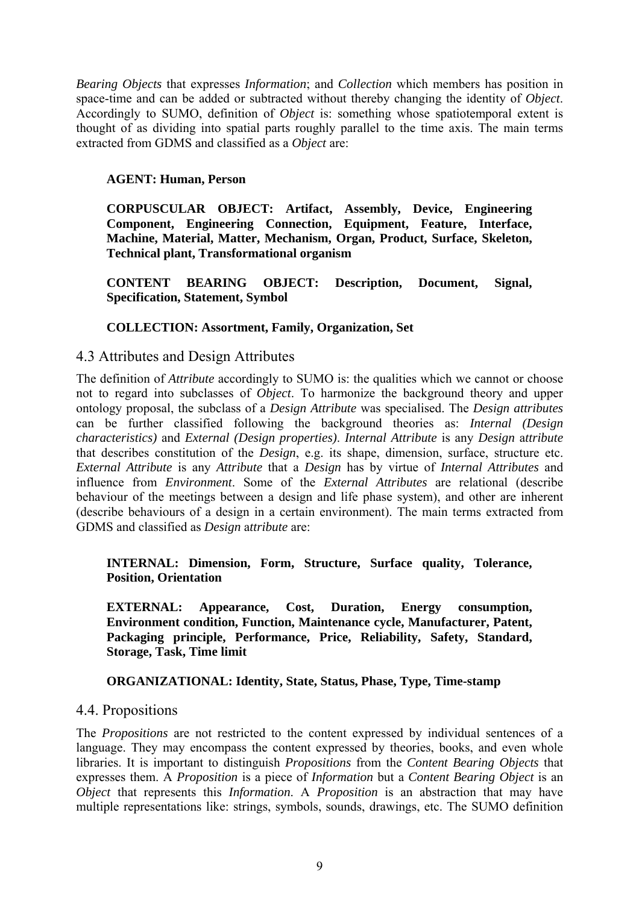*Bearing Objects* that expresses *Information*; and *Collection* which members has position in space-time and can be added or subtracted without thereby changing the identity of *Object*. Accordingly to SUMO, definition of *Object* is: something whose spatiotemporal extent is thought of as dividing into spatial parts roughly parallel to the time axis. The main terms extracted from GDMS and classified as a *Object* are:

#### **AGENT: Human, Person**

**CORPUSCULAR OBJECT: Artifact, Assembly, Device, Engineering Component, Engineering Connection, Equipment, Feature, Interface, Machine, Material, Matter, Mechanism, Organ, Product, Surface, Skeleton, Technical plant, Transformational organism** 

**CONTENT BEARING OBJECT: Description, Document, Signal, Specification, Statement, Symbol** 

#### **COLLECTION: Assortment, Family, Organization, Set**

#### 4.3 Attributes and Design Attributes

The definition of *Attribute* accordingly to SUMO is: the qualities which we cannot or choose not to regard into subclasses of *Object*. To harmonize the background theory and upper ontology proposal, the subclass of a *Design Attribute* was specialised. The *Design attributes*  can be further classified following the background theories as: *Internal (Design characteristics)* and *External (Design properties)*. *Internal Attribute* is any *Design* a*ttribute* that describes constitution of the *Design*, e.g. its shape, dimension, surface, structure etc. *External Attribute* is any *Attribute* that a *Design* has by virtue of *Internal Attributes* and influence from *Environment*. Some of the *External Attributes* are relational (describe behaviour of the meetings between a design and life phase system), and other are inherent (describe behaviours of a design in a certain environment). The main terms extracted from GDMS and classified as *Design* a*ttribute* are:

#### **INTERNAL: Dimension, Form, Structure, Surface quality, Tolerance, Position, Orientation**

**EXTERNAL: Appearance, Cost, Duration, Energy consumption, Environment condition, Function, Maintenance cycle, Manufacturer, Patent, Packaging principle, Performance, Price, Reliability, Safety, Standard, Storage, Task, Time limit** 

#### **ORGANIZATIONAL: Identity, State, Status, Phase, Type, Time-stamp**

#### 4.4. Propositions

The *Propositions* are not restricted to the content expressed by individual sentences of a language. They may encompass the content expressed by theories, books, and even whole libraries. It is important to distinguish *Propositions* from the *Content Bearing Objects* that expresses them. A *Proposition* is a piece of *Information* but a *Content Bearing Object* is an *Object* that represents this *Information*. A *Proposition* is an abstraction that may have multiple representations like: strings, symbols, sounds, drawings, etc. The SUMO definition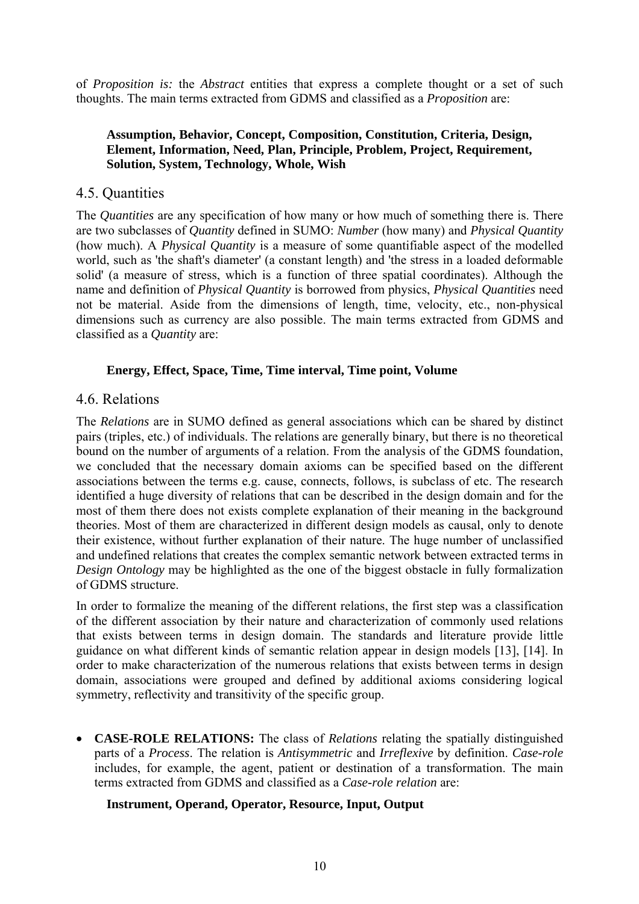of *Proposition is:* the *Abstract* entities that express a complete thought or a set of such thoughts. The main terms extracted from GDMS and classified as a *Proposition* are:

### **Assumption, Behavior, Concept, Composition, Constitution, Criteria, Design, Element, Information, Need, Plan, Principle, Problem, Project, Requirement, Solution, System, Technology, Whole, Wish**

### 4.5. Quantities

The *Quantities* are any specification of how many or how much of something there is. There are two subclasses of *Quantity* defined in SUMO: *Number* (how many) and *Physical Quantity* (how much). A *Physical Quantity* is a measure of some quantifiable aspect of the modelled world, such as 'the shaft's diameter' (a constant length) and 'the stress in a loaded deformable solid' (a measure of stress, which is a function of three spatial coordinates). Although the name and definition of *Physical Quantity* is borrowed from physics, *Physical Quantities* need not be material. Aside from the dimensions of length, time, velocity, etc., non-physical dimensions such as currency are also possible. The main terms extracted from GDMS and classified as a *Quantity* are:

#### **Energy, Effect, Space, Time, Time interval, Time point, Volume**

### 4.6. Relations

The *Relations* are in SUMO defined as general associations which can be shared by distinct pairs (triples, etc.) of individuals. The relations are generally binary, but there is no theoretical bound on the number of arguments of a relation. From the analysis of the GDMS foundation, we concluded that the necessary domain axioms can be specified based on the different associations between the terms e.g. cause, connects, follows, is subclass of etc. The research identified a huge diversity of relations that can be described in the design domain and for the most of them there does not exists complete explanation of their meaning in the background theories. Most of them are characterized in different design models as causal, only to denote their existence, without further explanation of their nature. The huge number of unclassified and undefined relations that creates the complex semantic network between extracted terms in *Design Ontology* may be highlighted as the one of the biggest obstacle in fully formalization of GDMS structure.

In order to formalize the meaning of the different relations, the first step was a classification of the different association by their nature and characterization of commonly used relations that exists between terms in design domain. The standards and literature provide little guidance on what different kinds of semantic relation appear in design models [13], [14]. In order to make characterization of the numerous relations that exists between terms in design domain, associations were grouped and defined by additional axioms considering logical symmetry, reflectivity and transitivity of the specific group.

• **CASE-ROLE RELATIONS:** The class of *Relations* relating the spatially distinguished parts of a *Process*. The relation is *Antisymmetric* and *Irreflexive* by definition. *Case-role* includes, for example, the agent, patient or destination of a transformation. The main terms extracted from GDMS and classified as a *Case-role relation* are:

#### **Instrument, Operand, Operator, Resource, Input, Output**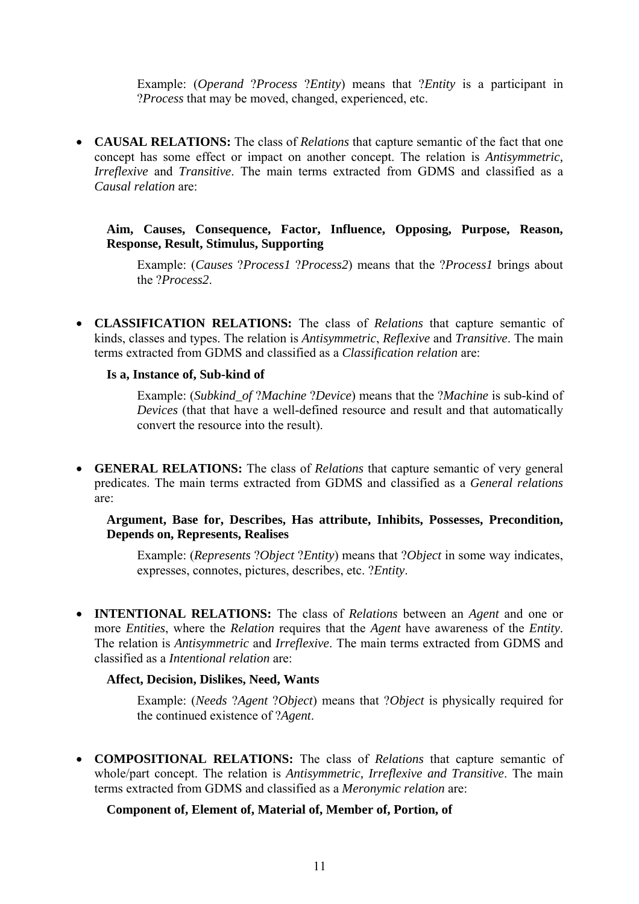Example: (*Operand* ?*Process* ?*Entity*) means that ?*Entity* is a participant in ?*Process* that may be moved, changed, experienced, etc.

• **CAUSAL RELATIONS:** The class of *Relations* that capture semantic of the fact that one concept has some effect or impact on another concept. The relation is *Antisymmetric, Irreflexive* and *Transitive*. The main terms extracted from GDMS and classified as a *Causal relation* are:

**Aim, Causes, Consequence, Factor, Influence, Opposing, Purpose, Reason, Response, Result, Stimulus, Supporting** 

Example: (*Causes* ?*Process1* ?*Process2*) means that the ?*Process1* brings about the ?*Process2*.

• **CLASSIFICATION RELATIONS:** The class of *Relations* that capture semantic of kinds, classes and types. The relation is *Antisymmetric*, *Reflexive* and *Transitive*. The main terms extracted from GDMS and classified as a *Classification relation* are:

#### **Is a, Instance of, Sub-kind of**

Example: (*Subkind\_of* ?*Machine* ?*Device*) means that the ?*Machine* is sub-kind of *Devices* (that that have a well-defined resource and result and that automatically convert the resource into the result).

• **GENERAL RELATIONS:** The class of *Relations* that capture semantic of very general predicates. The main terms extracted from GDMS and classified as a *General relations*  are:

#### **Argument, Base for, Describes, Has attribute, Inhibits, Possesses, Precondition, Depends on, Represents, Realises**

Example: (*Represents* ?*Object* ?*Entity*) means that ?*Object* in some way indicates, expresses, connotes, pictures, describes, etc. ?*Entity*.

• **INTENTIONAL RELATIONS:** The class of *Relations* between an *Agent* and one or more *Entities*, where the *Relation* requires that the *Agent* have awareness of the *Entity*. The relation is *Antisymmetric* and *Irreflexive*. The main terms extracted from GDMS and classified as a *Intentional relation* are:

#### **Affect, Decision, Dislikes, Need, Wants**

Example: (*Needs* ?*Agent* ?*Object*) means that ?*Object* is physically required for the continued existence of ?*Agent*.

• **COMPOSITIONAL RELATIONS:** The class of *Relations* that capture semantic of whole/part concept. The relation is *Antisymmetric, Irreflexive and Transitive*. The main terms extracted from GDMS and classified as a *Meronymic relation* are:

#### **Component of, Element of, Material of, Member of, Portion, of**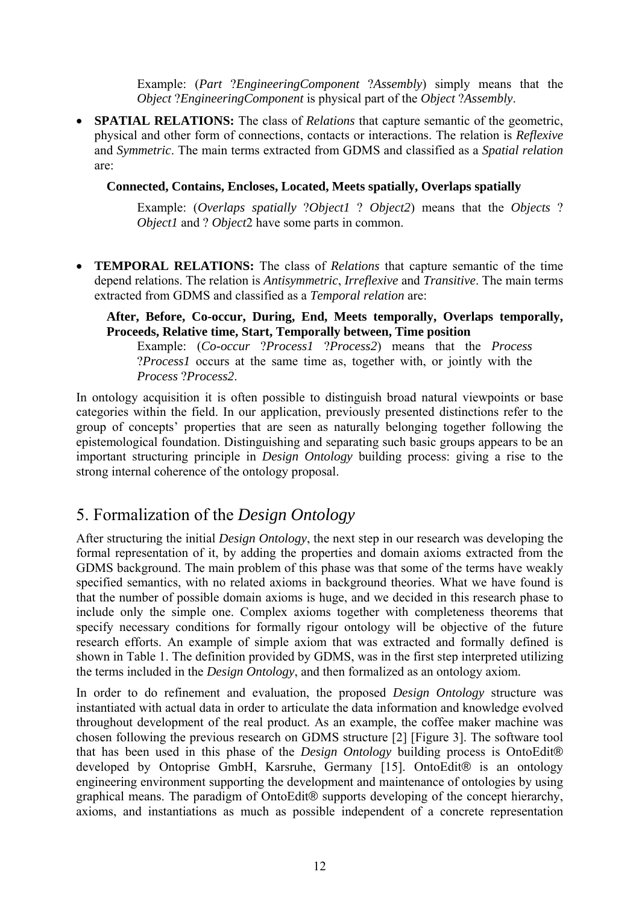Example: (*Part* ?*EngineeringComponent* ?*Assembly*) simply means that the *Object* ?*EngineeringComponent* is physical part of the *Object* ?*Assembly*.

• **SPATIAL RELATIONS:** The class of *Relations* that capture semantic of the geometric, physical and other form of connections, contacts or interactions. The relation is *Reflexive* and *Symmetric*. The main terms extracted from GDMS and classified as a *Spatial relation* are:

#### **Connected, Contains, Encloses, Located, Meets spatially, Overlaps spatially**

Example: (*Overlaps spatially* ?*Object1* ? *Object2*) means that the *Objects* ? *Object1* and ? *Object*2 have some parts in common.

• **TEMPORAL RELATIONS:** The class of *Relations* that capture semantic of the time depend relations. The relation is *Antisymmetric*, *Irreflexive* and *Transitive*. The main terms extracted from GDMS and classified as a *Temporal relation* are:

#### **After, Before, Co-occur, During, End, Meets temporally, Overlaps temporally, Proceeds, Relative time, Start, Temporally between, Time position**

Example: (*Co-occur* ?*Process1* ?*Process2*) means that the *Process* ?*Process1* occurs at the same time as, together with, or jointly with the *Process* ?*Process2*.

In ontology acquisition it is often possible to distinguish broad natural viewpoints or base categories within the field. In our application, previously presented distinctions refer to the group of concepts' properties that are seen as naturally belonging together following the epistemological foundation. Distinguishing and separating such basic groups appears to be an important structuring principle in *Design Ontology* building process: giving a rise to the strong internal coherence of the ontology proposal.

# 5. Formalization of the *Design Ontology*

After structuring the initial *Design Ontology*, the next step in our research was developing the formal representation of it, by adding the properties and domain axioms extracted from the GDMS background. The main problem of this phase was that some of the terms have weakly specified semantics, with no related axioms in background theories. What we have found is that the number of possible domain axioms is huge, and we decided in this research phase to include only the simple one. Complex axioms together with completeness theorems that specify necessary conditions for formally rigour ontology will be objective of the future research efforts. An example of simple axiom that was extracted and formally defined is shown in Table 1. The definition provided by GDMS, was in the first step interpreted utilizing the terms included in the *Design Ontology*, and then formalized as an ontology axiom.

In order to do refinement and evaluation, the proposed *Design Ontology* structure was instantiated with actual data in order to articulate the data information and knowledge evolved throughout development of the real product. As an example, the coffee maker machine was chosen following the previous research on GDMS structure [2] [Figure 3]. The software tool that has been used in this phase of the *Design Ontology* building process is OntoEdit® developed by Ontoprise GmbH, Karsruhe, Germany [15]. OntoEdit<sup>®</sup> is an ontology engineering environment supporting the development and maintenance of ontologies by using graphical means. The paradigm of OntoEdit® supports developing of the concept hierarchy, axioms, and instantiations as much as possible independent of a concrete representation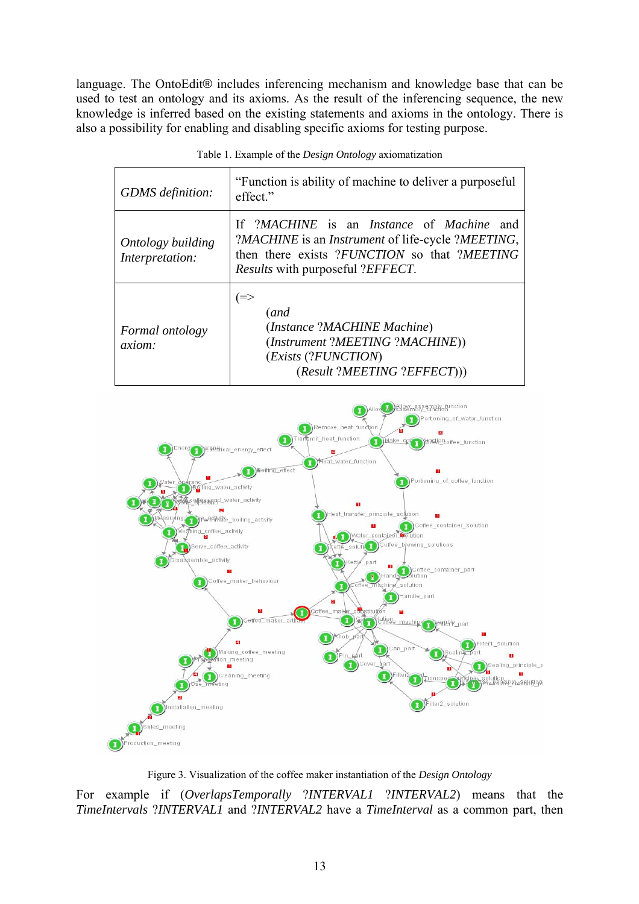language. The OntoEdit® includes inferencing mechanism and knowledge base that can be used to test an ontology and its axioms. As the result of the inferencing sequence, the new knowledge is inferred based on the existing statements and axioms in the ontology. There is also a possibility for enabling and disabling specific axioms for testing purpose.

| GDMS definition:                     | "Function is ability of machine to deliver a purposeful<br>effect."                                                                                                                                                     |
|--------------------------------------|-------------------------------------------------------------------------------------------------------------------------------------------------------------------------------------------------------------------------|
| Ontology building<br>Interpretation: | If ?MACHINE is an <i>Instance</i> of <i>Machine</i> and<br>?MACHINE is an <i>Instrument</i> of life-cycle ?MEETING,<br>then there exists ?FUNCTION so that ?MEETING<br><i>Results</i> with purposeful ? <i>EFFECT</i> . |
| Formal ontology<br><i>axiom:</i>     | (and<br>(Instance ?MACHINE Machine)<br>(Instrument ?MEETING ?MACHINE))<br>(Exists (?FUNCTION)<br>(Result ?MEETING ?EFFECT))                                                                                             |

Table 1. Example of the *Design Ontology* axiomatization



Figure 3. Visualization of the coffee maker instantiation of the *Design Ontology*

For example if (*OverlapsTemporally* ?*INTERVAL1* ?*INTERVAL2*) means that the *TimeIntervals* ?*INTERVAL1* and ?*INTERVAL2* have a *TimeInterval* as a common part, then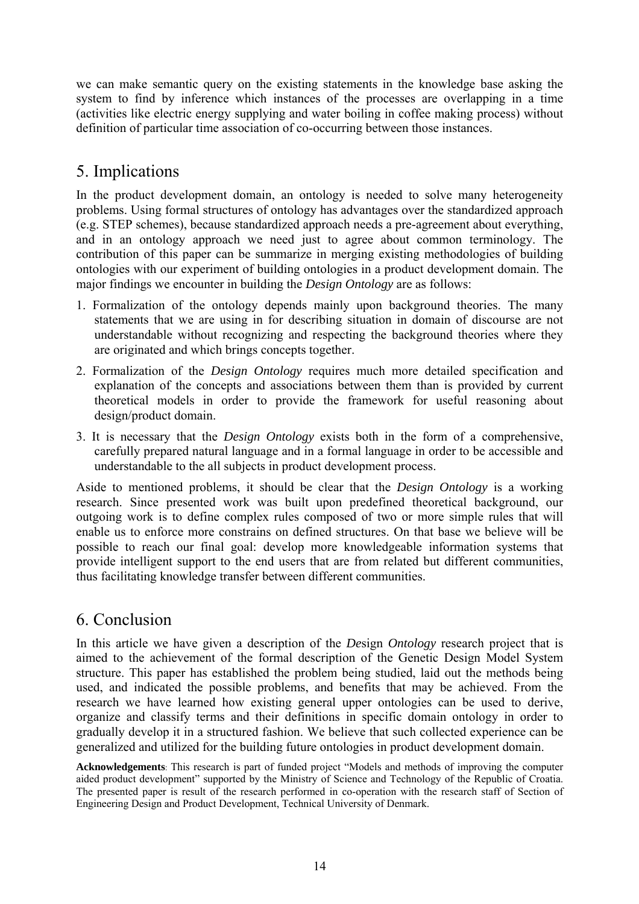we can make semantic query on the existing statements in the knowledge base asking the system to find by inference which instances of the processes are overlapping in a time (activities like electric energy supplying and water boiling in coffee making process) without definition of particular time association of co-occurring between those instances.

# 5. Implications

In the product development domain, an ontology is needed to solve many heterogeneity problems. Using formal structures of ontology has advantages over the standardized approach (e.g. STEP schemes), because standardized approach needs a pre-agreement about everything, and in an ontology approach we need just to agree about common terminology. The contribution of this paper can be summarize in merging existing methodologies of building ontologies with our experiment of building ontologies in a product development domain. The major findings we encounter in building the *Design Ontology* are as follows:

- 1. Formalization of the ontology depends mainly upon background theories. The many statements that we are using in for describing situation in domain of discourse are not understandable without recognizing and respecting the background theories where they are originated and which brings concepts together.
- 2. Formalization of the *Design Ontology* requires much more detailed specification and explanation of the concepts and associations between them than is provided by current theoretical models in order to provide the framework for useful reasoning about design/product domain.
- 3. It is necessary that the *Design Ontology* exists both in the form of a comprehensive, carefully prepared natural language and in a formal language in order to be accessible and understandable to the all subjects in product development process.

Aside to mentioned problems, it should be clear that the *Design Ontology* is a working research. Since presented work was built upon predefined theoretical background, our outgoing work is to define complex rules composed of two or more simple rules that will enable us to enforce more constrains on defined structures. On that base we believe will be possible to reach our final goal: develop more knowledgeable information systems that provide intelligent support to the end users that are from related but different communities, thus facilitating knowledge transfer between different communities.

# 6. Conclusion

In this article we have given a description of the *De*sign *Ontology* research project that is aimed to the achievement of the formal description of the Genetic Design Model System structure. This paper has established the problem being studied, laid out the methods being used, and indicated the possible problems, and benefits that may be achieved. From the research we have learned how existing general upper ontologies can be used to derive, organize and classify terms and their definitions in specific domain ontology in order to gradually develop it in a structured fashion. We believe that such collected experience can be generalized and utilized for the building future ontologies in product development domain.

**Acknowledgements**: This research is part of funded project "Models and methods of improving the computer aided product development" supported by the Ministry of Science and Technology of the Republic of Croatia. The presented paper is result of the research performed in co-operation with the research staff of Section of Engineering Design and Product Development, Technical University of Denmark.